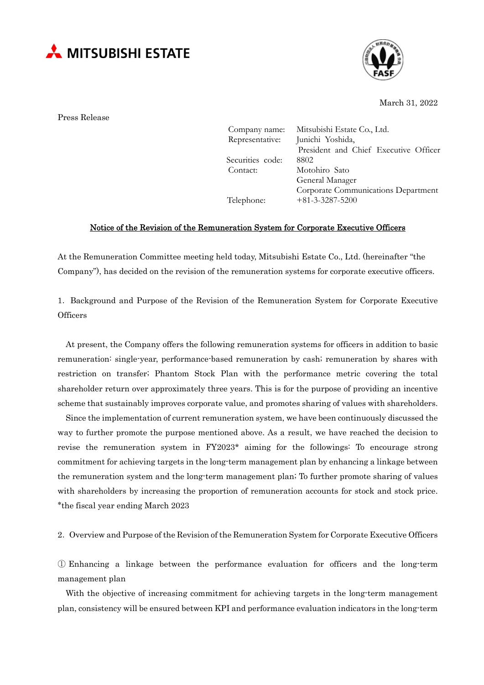



March 31, 2022

Press Release

| Company name:    | Mitsubishi Estate Co., Ltd.           |
|------------------|---------------------------------------|
| Representative:  | Junichi Yoshida,                      |
|                  | President and Chief Executive Officer |
| Securities code: | 8802                                  |
| Contact:         | Motohiro Sato                         |
|                  | General Manager                       |
|                  | Corporate Communications Department   |
| Telephone:       | $+81-3-3287-5200$                     |
|                  |                                       |

## Notice of the Revision of the Remuneration System for Corporate Executive Officers

At the Remuneration Committee meeting held today, Mitsubishi Estate Co., Ltd. (hereinafter "the Company"), has decided on the revision of the remuneration systems for corporate executive officers.

1.Background and Purpose of the Revision of the Remuneration System for Corporate Executive **Officers** 

At present, the Company offers the following remuneration systems for officers in addition to basic remuneration: single-year, performance-based remuneration by cash; remuneration by shares with restriction on transfer; Phantom Stock Plan with the performance metric covering the total shareholder return over approximately three years. This is for the purpose of providing an incentive scheme that sustainably improves corporate value, and promotes sharing of values with shareholders.

Since the implementation of current remuneration system, we have been continuously discussed the way to further promote the purpose mentioned above. As a result, we have reached the decision to revise the remuneration system in FY2023\* aiming for the followings: To encourage strong commitment for achieving targets in the long-term management plan by enhancing a linkage between the remuneration system and the long-term management plan; To further promote sharing of values with shareholders by increasing the proportion of remuneration accounts for stock and stock price. \*the fiscal year ending March 2023

2. Overview and Purpose of the Revision of the Remuneration System for Corporate Executive Officers

① Enhancing a linkage between the performance evaluation for officers and the long-term management plan

With the objective of increasing commitment for achieving targets in the long-term management plan, consistency will be ensured between KPI and performance evaluation indicators in the long-term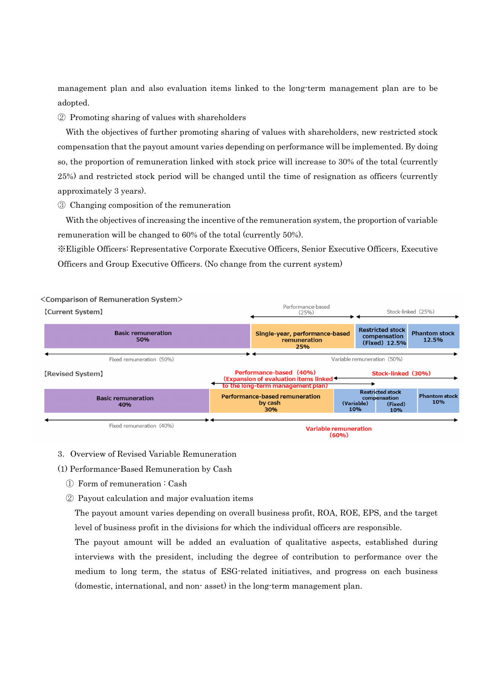management plan and also evaluation items linked to the long-term management plan are to be adopted.

② Promoting sharing of values with shareholders

With the objectives of further promoting sharing of values with shareholders, new restricted stock compensation that the payout amount varies depending on performance will be implemented. By doing so, the proportion of remuneration linked with stock price will increase to 30% of the total (currently 25%) and restricted stock period will be changed until the time of resignation as officers (currently approximately 3 years).

③ Changing composition of the remuneration

With the objectives of increasing the incentive of the remuneration system, the proportion of variable remuneration will be changed to 60% of the total (currently 50%).

※Eligible Officers: Representative Corporate Executive Officers, Senior Executive Officers, Executive Officers and Group Executive Officers. (No change from the current system)



- 3.Overview of Revised Variable Remuneration
- (1) Performance-Based Remuneration by Cash
	- ① Form of remuneration : Cash
	- ② Payout calculation and major evaluation items

The payout amount varies depending on overall business profit, ROA, ROE, EPS, and the target level of business profit in the divisions for which the individual officers are responsible.

The payout amount will be added an evaluation of qualitative aspects, established during interviews with the president, including the degree of contribution to performance over the medium to long term, the status of ESG-related initiatives, and progress on each business (domestic, international, and non- asset) in the long-term management plan.